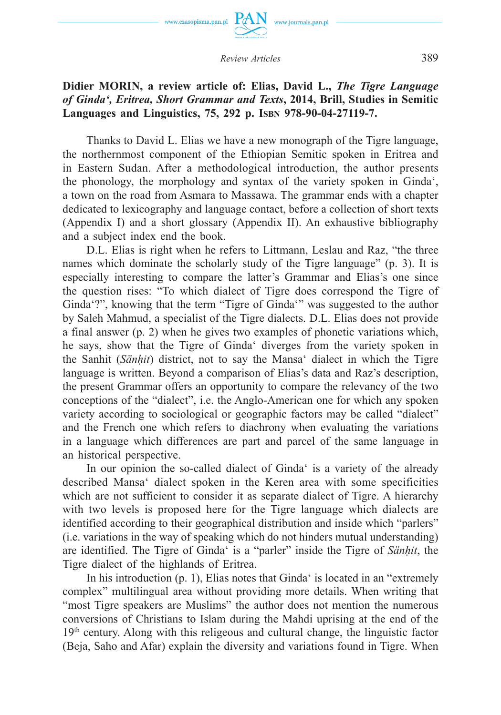

*Review Articles* 389

# **Didier MORIN, a review article of: Elias, David L.,** *The Tigre Language of Ginda', Eritrea, Short Grammar and Texts***, 2014, Brill, Studies in Semitic Languages and Linguistics, 75, 292 p. ISBN 978-90-04-27119-7.**

Thanks to David L. Elias we have a new monograph of the Tigre language, the northernmost component of the Ethiopian Semitic spoken in Eritrea and in Eastern Sudan. After a methodological introduction, the author presents the phonology, the morphology and syntax of the variety spoken in Ginda', a town on the road from Asmara to Massawa. The grammar ends with a chapter dedicated to lexicography and language contact, before a collection of short texts (Appendix I) and a short glossary (Appendix II). An exhaustive bibliography and a subject index end the book.

D.L. Elias is right when he refers to Littmann, Leslau and Raz, "the three names which dominate the scholarly study of the Tigre language" (p. 3). It is especially interesting to compare the latter's Grammar and Elias's one since the question rises: "To which dialect of Tigre does correspond the Tigre of Ginda'?", knowing that the term "Tigre of Ginda'" was suggested to the author by Saleh Mahmud, a specialist of the Tigre dialects. D.L. Elias does not provide a final answer (p. 2) when he gives two examples of phonetic variations which, he says, show that the Tigre of Ginda' diverges from the variety spoken in the Sanhit (*Sänḥit*) district, not to say the Mansa' dialect in which the Tigre language is written. Beyond a comparison of Elias's data and Raz's description, the present Grammar offers an opportunity to compare the relevancy of the two conceptions of the "dialect", i.e. the Anglo-American one for which any spoken variety according to sociological or geographic factors may be called "dialect" and the French one which refers to diachrony when evaluating the variations in a language which differences are part and parcel of the same language in an historical perspective.

In our opinion the so-called dialect of Ginda' is a variety of the already described Mansa' dialect spoken in the Keren area with some specificities which are not sufficient to consider it as separate dialect of Tigre. A hierarchy with two levels is proposed here for the Tigre language which dialects are identified according to their geographical distribution and inside which "parlers" (i.e. variations in the way of speaking which do not hinders mutual understanding) are identified. The Tigre of Ginda' is a "parler" inside the Tigre of *Sänḥit*, the Tigre dialect of the highlands of Eritrea.

In his introduction (p. 1), Elias notes that Ginda' is located in an "extremely complex" multilingual area without providing more details. When writing that "most Tigre speakers are Muslims" the author does not mention the numerous conversions of Christians to Islam during the Mahdi uprising at the end of the  $19<sup>th</sup>$  century. Along with this religeous and cultural change, the linguistic factor (Beja, Saho and Afar) explain the diversity and variations found in Tigre. When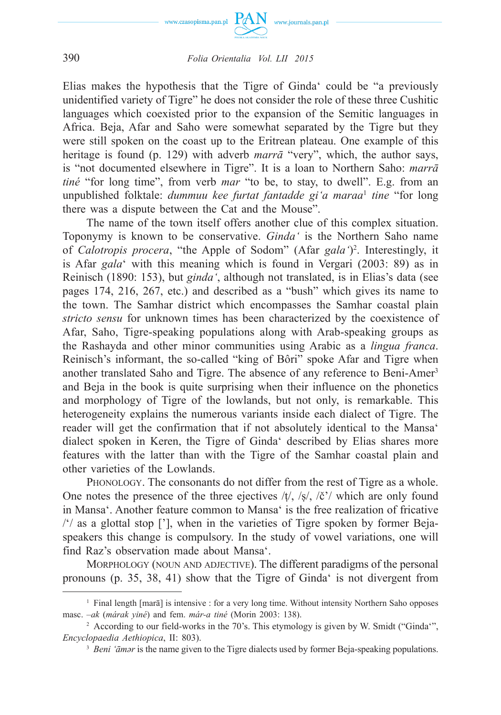

## 390 *Folia Orientalia Vol. LII 2015*

Elias makes the hypothesis that the Tigre of Ginda' could be "a previously unidentified variety of Tigre" he does not consider the role of these three Cushitic languages which coexisted prior to the expansion of the Semitic languages in Africa. Beja, Afar and Saho were somewhat separated by the Tigre but they were still spoken on the coast up to the Eritrean plateau. One example of this heritage is found (p. 129) with adverb *marrā* "very", which, the author says, is "not documented elsewhere in Tigre". It is a loan to Northern Saho: *marrā tiné* "for long time", from verb *mar* "to be, to stay, to dwell". E.g. from an unpublished folktale: *dummuu kee furtat fantadde gi'a maraa*<sup>1</sup> *tine* "for long there was a dispute between the Cat and the Mouse".

The name of the town itself offers another clue of this complex situation. Toponymy is known to be conservative. *Ginda'* is the Northern Saho name of *Calotropis procera*, "the Apple of Sodom" (Afar *gala'*) 2 . Interestingly, it is Afar *gala*' with this meaning which is found in Vergari (2003: 89) as in Reinisch (1890: 153), but *ginda'*, although not translated, is in Elias's data (see pages 174, 216, 267, etc.) and described as a "bush" which gives its name to the town. The Samhar district which encompasses the Samhar coastal plain *stricto sensu* for unknown times has been characterized by the coexistence of Afar, Saho, Tigre-speaking populations along with Arab-speaking groups as the Rashayda and other minor communities using Arabic as a *lingua franca*. Reinisch's informant, the so-called "king of Bôri" spoke Afar and Tigre when another translated Saho and Tigre. The absence of any reference to Beni-Amer<sup>3</sup> and Beja in the book is quite surprising when their influence on the phonetics and morphology of Tigre of the lowlands, but not only, is remarkable. This heterogeneity explains the numerous variants inside each dialect of Tigre. The reader will get the confirmation that if not absolutely identical to the Mansa' dialect spoken in Keren, the Tigre of Ginda' described by Elias shares more features with the latter than with the Tigre of the Samhar coastal plain and other varieties of the Lowlands.

PHONOLOGY. The consonants do not differ from the rest of Tigre as a whole. One notes the presence of the three ejectives  $/t/$ ,  $/s/$ ,  $\zeta^2/$  which are only found in Mansa'. Another feature common to Mansa' is the free realization of fricative  $/$ / as a glottal stop [ $'$ ], when in the varieties of Tigre spoken by former Bejaspeakers this change is compulsory. In the study of vowel variations, one will find Raz's observation made about Mansa'.

MORPHOLOGY (NOUN AND ADJECTIVE). The different paradigms of the personal pronouns (p. 35, 38, 41) show that the Tigre of Ginda' is not divergent from

<sup>1</sup> Final length [marā] is intensive : for a very long time. Without intensity Northern Saho opposes masc. –*ak* (*márak yiné*) and fem. *már-a tiné* (Morin 2003: 138).

<sup>&</sup>lt;sup>2</sup> According to our field-works in the 70's. This etymology is given by W. Smidt ("Ginda", *Encyclopaedia Aethiopica*, II: 803).

<sup>&</sup>lt;sup>3</sup> *Beni '* $\bar{a}$ *mar* is the name given to the Tigre dialects used by former Beja-speaking populations.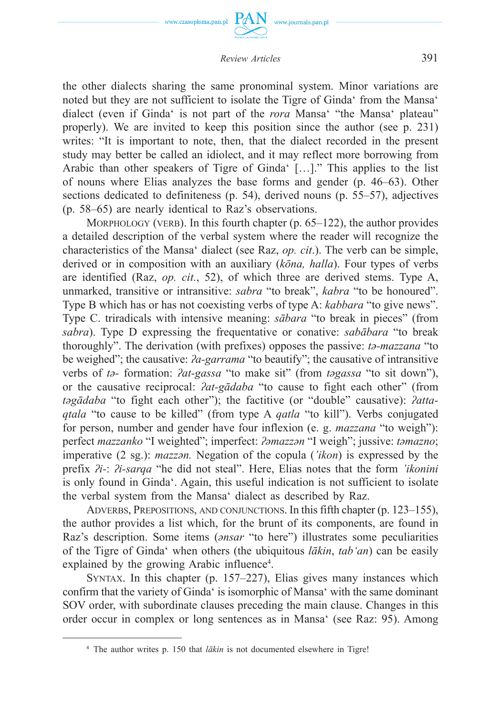

#### *Review Articles* 391

www.journals.pan.pl

the other dialects sharing the same pronominal system. Minor variations are noted but they are not sufficient to isolate the Tigre of Ginda' from the Mansa' dialect (even if Ginda' is not part of the *rora* Mansa' "the Mansa' plateau" properly). We are invited to keep this position since the author (see p. 231) writes: "It is important to note, then, that the dialect recorded in the present study may better be called an idiolect, and it may reflect more borrowing from Arabic than other speakers of Tigre of Ginda' […]." This applies to the list of nouns where Elias analyzes the base forms and gender (p. 46–63). Other sections dedicated to definiteness (p. 54), derived nouns (p. 55–57), adjectives (p. 58–65) are nearly identical to Raz's observations.

MORPHOLOGY (VERB). In this fourth chapter (p. 65–122), the author provides a detailed description of the verbal system where the reader will recognize the characteristics of the Mansa' dialect (see Raz, *op. cit*.). The verb can be simple, derived or in composition with an auxiliary (*kōna, halla*). Four types of verbs are identified (Raz, *op. cit.*, 52), of which three are derived stems. Type A, unmarked, transitive or intransitive: *sabra* "to break", *kabra* "to be honoured". Type B which has or has not coexisting verbs of type A: *kabbara* "to give news". Type C. triradicals with intensive meaning: *sābara* "to break in pieces" (from *sabra*). Type D expressing the frequentative or conative: *sabābara* "to break thoroughly". The derivation (with prefixes) opposes the passive: *tə-mazzana* "to be weighed"; the causative: *ʔa-garrama* "to beautify"; the causative of intransitive verbs of *tə-* formation: *ʔat-gassa* "to make sit" (from *təgassa* "to sit down"), or the causative reciprocal: *ʔat-gādaba* "to cause to fight each other" (from *təgādaba* "to fight each other"); the factitive (or "double" causative): *ʔattaqtala* "to cause to be killed" (from type A *qatla* "to kill"). Verbs conjugated for person, number and gender have four inflexion (e. g. *mazzana* "to weigh"): perfect *mazzanko* "I weighted"; imperfect: *ʔəmazzən* "I weigh"; jussive: *təmazno*; imperative (2 sg.): *mazzən.* Negation of the copula (*'ikon*) is expressed by the prefix *ʔi-*: *ʔi-sarqa* "he did not steal". Here, Elias notes that the form *'ikonini* is only found in Ginda'. Again, this useful indication is not sufficient to isolate the verbal system from the Mansa' dialect as described by Raz.

ADVERBS, PREPOSITIONS, AND CONJUNCTIONS. In this fifth chapter (p. 123–155), the author provides a list which, for the brunt of its components, are found in Raz's description. Some items (*ansar* "to here") illustrates some peculiarities of the Tigre of Ginda' when others (the ubiquitous *lākin*, *tab'an*) can be easily explained by the growing Arabic influence<sup>4</sup>.

SYNTAX. In this chapter (p. 157–227), Elias gives many instances which confirm that the variety of Ginda' is isomorphic of Mansa' with the same dominant SOV order, with subordinate clauses preceding the main clause. Changes in this order occur in complex or long sentences as in Mansa' (see Raz: 95). Among

<sup>4</sup> The author writes p. 150 that *lākin* is not documented elsewhere in Tigre!